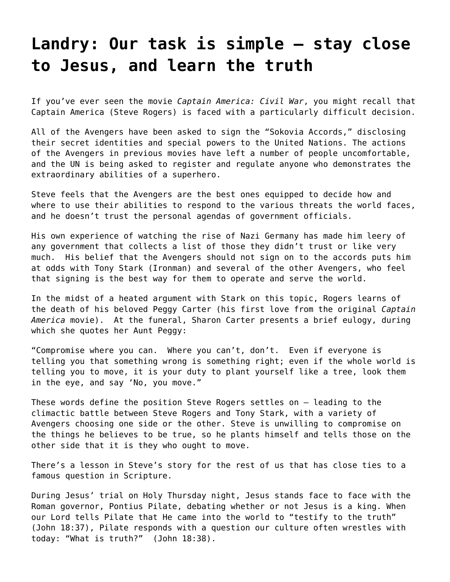## **[Landry: Our task is simple – stay close](https://grandinmedia.ca/task-simple-stay-close-jesus-learn-truth/) [to Jesus, and learn the truth](https://grandinmedia.ca/task-simple-stay-close-jesus-learn-truth/)**

If you've ever seen the movie *Captain America: Civil War*, you might recall that Captain America (Steve Rogers) is faced with a particularly difficult decision.

All of the Avengers have been asked to sign the "Sokovia Accords," disclosing their secret identities and special powers to the United Nations. The actions of the Avengers in previous movies have left a number of people uncomfortable, and the UN is being asked to register and regulate anyone who demonstrates the extraordinary abilities of a superhero.

Steve feels that the Avengers are the best ones equipped to decide how and where to use their abilities to respond to the various threats the world faces, and he doesn't trust the personal agendas of government officials.

His own experience of watching the rise of Nazi Germany has made him leery of any government that collects a list of those they didn't trust or like very much. His belief that the Avengers should not sign on to the accords puts him at odds with Tony Stark (Ironman) and several of the other Avengers, who feel that signing is the best way for them to operate and serve the world.

In the midst of a heated argument with Stark on this topic, Rogers learns of the death of his beloved Peggy Carter (his first love from the original *Captain America* movie). At the funeral, Sharon Carter presents a brief eulogy, during which she quotes her Aunt Peggy:

"Compromise where you can. Where you can't, don't. Even if everyone is telling you that something wrong is something right; even if the whole world is telling you to move, it is your duty to plant yourself like a tree, look them in the eye, and say 'No, you move."

These words define the position Steve Rogers settles on – leading to the climactic battle between Steve Rogers and Tony Stark, with a variety of Avengers choosing one side or the other. Steve is unwilling to compromise on the things he believes to be true, so he plants himself and tells those on the other side that it is they who ought to move.

There's a lesson in Steve's story for the rest of us that has close ties to a famous question in Scripture.

During Jesus' trial on Holy Thursday night, Jesus stands face to face with the Roman governor, Pontius Pilate, debating whether or not Jesus is a king. When our Lord tells Pilate that He came into the world to "testify to the truth" [\(John 18:37](https://www.biblegateway.com/passage/?search=john+18%3A37&version=NIV)), Pilate responds with a question our culture often wrestles with today: "What is truth?" ([John 18:38\)](https://www.biblegateway.com/passage/?search=john+18%3A38&version=NIV).